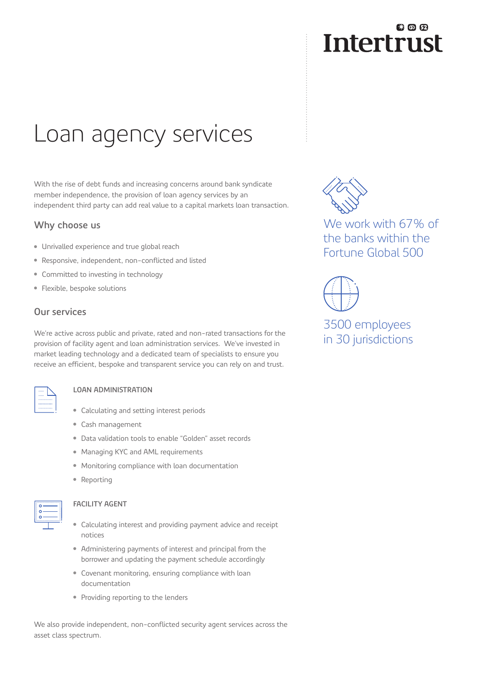## 我の田 **Intertrust**

# Loan agency services

With the rise of debt funds and increasing concerns around bank syndicate member independence, the provision of loan agency services by an independent third party can add real value to a capital markets loan transaction.

#### **Why choose us**

- Unrivalled experience and true global reach
- Responsive, independent, non-conflicted and listed
- Committed to investing in technology
- Flexible, bespoke solutions

#### **Our services**

We're active across public and private, rated and non-rated transactions for the provision of facility agent and loan administration services. We've invested in market leading technology and a dedicated team of specialists to ensure you receive an efficient, bespoke and transparent service you can rely on and trust.



#### **LOAN ADMINISTRATION**

- Calculating and setting interest periods
- Cash management
- Data validation tools to enable "Golden" asset records
- Managing KYC and AML requirements
- Monitoring compliance with loan documentation
- Reporting



#### **FACILITY AGENT**

- Calculating interest and providing payment advice and receipt notices
- Administering payments of interest and principal from the borrower and updating the payment schedule accordingly
- Covenant monitoring, ensuring compliance with loan documentation
- Providing reporting to the lenders

We also provide independent, non-conflicted security agent services across the asset class spectrum.



We work with 67% of the banks within the Fortune Global 500



3500 employees in 30 jurisdictions